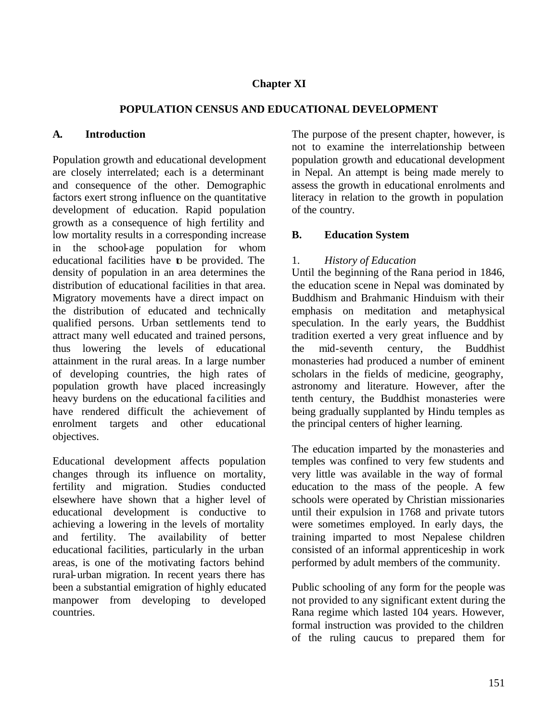# **Chapter XI**

### **POPULATION CENSUS AND EDUCATIONAL DEVELOPMENT**

#### **A. Introduction**

Population growth and educational development are closely interrelated; each is a determinant and consequence of the other. Demographic factors exert strong influence on the quantitative development of education. Rapid population growth as a consequence of high fertility and low mortality results in a corresponding increase in the school-age population for whom educational facilities have to be provided. The density of population in an area determines the distribution of educational facilities in that area. Migratory movements have a direct impact on the distribution of educated and technically qualified persons. Urban settlements tend to attract many well educated and trained persons, thus lowering the levels of educational attainment in the rural areas. In a large number of developing countries, the high rates of population growth have placed increasingly heavy burdens on the educational fa cilities and have rendered difficult the achievement of enrolment targets and other educational objectives.

Educational development affects population changes through its influence on mortality, fertility and migration. Studies conducted elsewhere have shown that a higher level of educational development is conductive to achieving a lowering in the levels of mortality and fertility. The availability of better educational facilities, particularly in the urban areas, is one of the motivating factors behind rural-urban migration. In recent years there has been a substantial emigration of highly educated manpower from developing to developed countries.

The purpose of the present chapter, however, is not to examine the interrelationship between population growth and educational development in Nepal. An attempt is being made merely to assess the growth in educational enrolments and literacy in relation to the growth in population of the country.

### **B. Education System**

### 1. *History of Education*

Until the beginning of the Rana period in 1846, the education scene in Nepal was dominated by Buddhism and Brahmanic Hinduism with their emphasis on meditation and metaphysical speculation. In the early years, the Buddhist tradition exerted a very great influence and by the mid-seventh century, the Buddhist monasteries had produced a number of eminent scholars in the fields of medicine, geography, astronomy and literature. However, after the tenth century, the Buddhist monasteries were being gradually supplanted by Hindu temples as the principal centers of higher learning.

The education imparted by the monasteries and temples was confined to very few students and very little was available in the way of formal education to the mass of the people. A few schools were operated by Christian missionaries until their expulsion in 1768 and private tutors were sometimes employed. In early days, the training imparted to most Nepalese children consisted of an informal apprenticeship in work performed by adult members of the community.

Public schooling of any form for the people was not provided to any significant extent during the Rana regime which lasted 104 years. However, formal instruction was provided to the children of the ruling caucus to prepared them for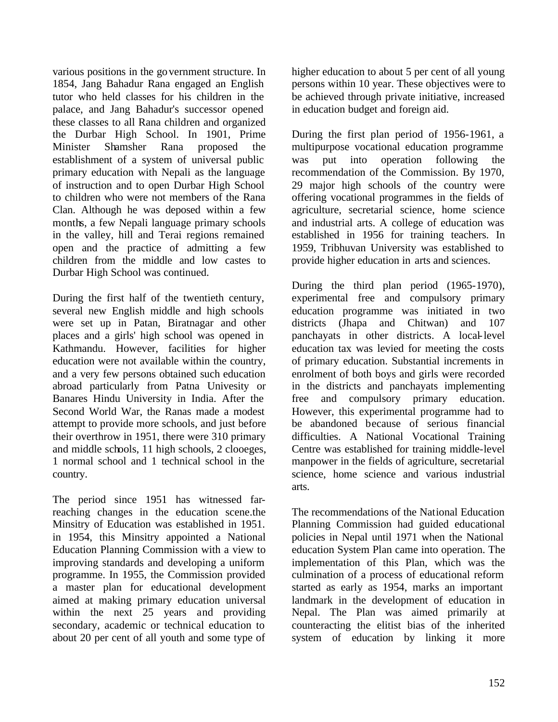various positions in the government structure. In 1854, Jang Bahadur Rana engaged an English tutor who held classes for his children in the palace, and Jang Bahadur's successor opened these classes to all Rana children and organized the Durbar High School. In 1901, Prime Minister Shamsher Rana proposed establishment of a system of universal public primary education with Nepali as the language of instruction and to open Durbar High School to children who were not members of the Rana Clan. Although he was deposed within a few months, a few Nepali language primary schools in the valley, hill and Terai regions remained open and the practice of admitting a few children from the middle and low castes to Durbar High School was continued.

During the first half of the twentieth century, several new English middle and high schools were set up in Patan, Biratnagar and other places and a girls' high school was opened in Kathmandu. However, facilities for higher education were not available within the country, and a very few persons obtained such education abroad particularly from Patna Univesity or Banares Hindu University in India. After the Second World War, the Ranas made a modest attempt to provide more schools, and just before their overthrow in 1951, there were 310 primary and middle schools, 11 high schools, 2 clooeges, 1 normal school and 1 technical school in the country.

The period since 1951 has witnessed farreaching changes in the education scene.the Minsitry of Education was established in 1951. in 1954, this Minsitry appointed a National Education Planning Commission with a view to improving standards and developing a uniform programme. In 1955, the Commission provided a master plan for educational development aimed at making primary education universal within the next 25 years and providing secondary, academic or technical education to about 20 per cent of all youth and some type of

higher education to about 5 per cent of all young persons within 10 year. These objectives were to be achieved through private initiative, increased in education budget and foreign aid.

During the first plan period of 1956-1961, a multipurpose vocational education programme was put into operation following the recommendation of the Commission. By 1970, 29 major high schools of the country were offering vocational programmes in the fields of agriculture, secretarial science, home science and industrial arts. A college of education was established in 1956 for training teachers. In 1959, Tribhuvan University was established to provide higher education in arts and sciences.

During the third plan period (1965-1970), experimental free and compulsory primary education programme was initiated in two districts (Jhapa and Chitwan) and 107 panchayats in other districts. A local-level education tax was levied for meeting the costs of primary education. Substantial increments in enrolment of both boys and girls were recorded in the districts and panchayats implementing free and compulsory primary education. However, this experimental programme had to be abandoned because of serious financial difficulties. A National Vocational Training Centre was established for training middle-level manpower in the fields of agriculture, secretarial science, home science and various industrial arts.

The recommendations of the National Education Planning Commission had guided educational policies in Nepal until 1971 when the National education System Plan came into operation. The implementation of this Plan, which was the culmination of a process of educational reform started as early as 1954, marks an important landmark in the development of education in Nepal. The Plan was aimed primarily at counteracting the elitist bias of the inherited system of education by linking it more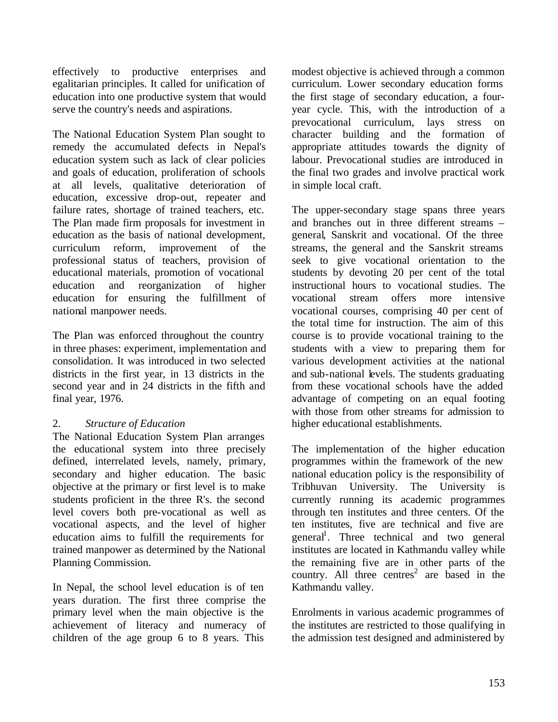effectively to productive enterprises and egalitarian principles. It called for unification of education into one productive system that would serve the country's needs and aspirations.

The National Education System Plan sought to remedy the accumulated defects in Nepal's education system such as lack of clear policies and goals of education, proliferation of schools at all levels, qualitative deterioration of education, excessive drop-out, repeater and failure rates, shortage of trained teachers, etc. The Plan made firm proposals for investment in education as the basis of national development, curriculum reform, improvement of the professional status of teachers, provision of educational materials, promotion of vocational education and reorganization of higher education for ensuring the fulfillment of national manpower needs.

The Plan was enforced throughout the country in three phases: experiment, implementation and consolidation. It was introduced in two selected districts in the first year, in 13 districts in the second year and in 24 districts in the fifth and final year, 1976.

## 2. *Structure of Education*

The National Education System Plan arranges the educational system into three precisely defined, interrelated levels, namely, primary, secondary and higher education. The basic objective at the primary or first level is to make students proficient in the three R's. the second level covers both pre-vocational as well as vocational aspects, and the level of higher education aims to fulfill the requirements for trained manpower as determined by the National Planning Commission.

In Nepal, the school level education is of ten years duration. The first three comprise the primary level when the main objective is the achievement of literacy and numeracy of children of the age group 6 to 8 years. This

modest objective is achieved through a common curriculum. Lower secondary education forms the first stage of secondary education, a fouryear cycle. This, with the introduction of a prevocational curriculum, lays stress on character building and the formation of appropriate attitudes towards the dignity of labour. Prevocational studies are introduced in the final two grades and involve practical work in simple local craft.

The upper-secondary stage spans three years and branches out in three different streams – general, Sanskrit and vocational. Of the three streams, the general and the Sanskrit streams seek to give vocational orientation to the students by devoting 20 per cent of the total instructional hours to vocational studies. The vocational stream offers more intensive vocational courses, comprising 40 per cent of the total time for instruction. The aim of this course is to provide vocational training to the students with a view to preparing them for various development activities at the national and sub-national levels. The students graduating from these vocational schools have the added advantage of competing on an equal footing with those from other streams for admission to higher educational establishments.

The implementation of the higher education programmes within the framework of the new national education policy is the responsibility of Tribhuvan University. The University is currently running its academic programmes through ten institutes and three centers. Of the ten institutes, five are technical and five are general<sup>1</sup>. Three technical and two general institutes are located in Kathmandu valley while the remaining five are in other parts of the country. All three centres<sup>2</sup> are based in the Kathmandu valley.

Enrolments in various academic programmes of the institutes are restricted to those qualifying in the admission test designed and administered by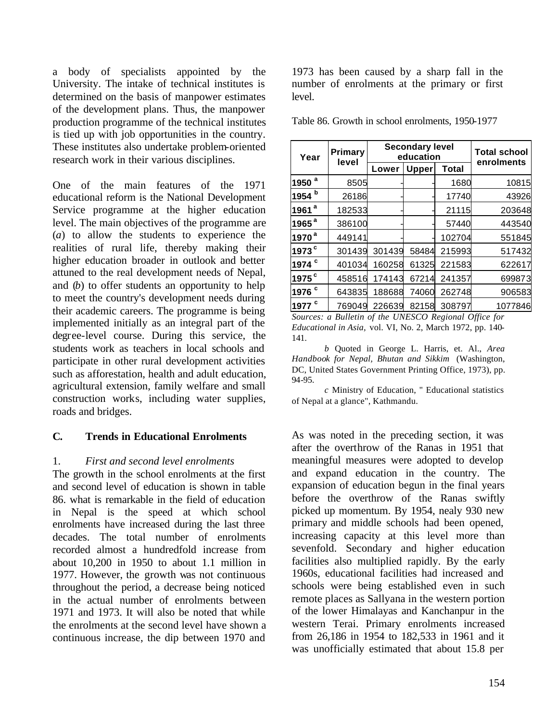a body of specialists appointed by the University. The intake of technical institutes is determined on the basis of manpower estimates of the development plans. Thus, the manpower production programme of the technical institutes is tied up with job opportunities in the country. These institutes also undertake problem-oriented research work in their various disciplines.

One of the main features of the 1971 educational reform is the National Development Service programme at the higher education level. The main objectives of the programme are (*a*) to allow the students to experience the realities of rural life, thereby making their higher education broader in outlook and better attuned to the real development needs of Nepal, and (*b*) to offer students an opportunity to help to meet the country's development needs during their academic careers. The programme is being implemented initially as an integral part of the degree-level course. During this service, the students work as teachers in local schools and participate in other rural development activities such as afforestation, health and adult education, agricultural extension, family welfare and small construction works, including water supplies, roads and bridges.

## **C. Trends in Educational Enrolments**

### 1. *First and second level enrolments*

The growth in the school enrolments at the first and second level of education is shown in table 86. what is remarkable in the field of education in Nepal is the speed at which school enrolments have increased during the last three decades. The total number of enrolments recorded almost a hundredfold increase from about 10,200 in 1950 to about 1.1 million in 1977. However, the growth was not continuous throughout the period, a decrease being noticed in the actual number of enrolments between 1971 and 1973. It will also be noted that while the enrolments at the second level have shown a continuous increase, the dip between 1970 and

1973 has been caused by a sharp fall in the number of enrolments at the primary or first level.

Table 86. Growth in school enrolments, 1950-1977

| Year                | Primary<br>level |                       | <b>Secondary level</b><br>education | <b>Total school</b><br>enrolments |         |
|---------------------|------------------|-----------------------|-------------------------------------|-----------------------------------|---------|
|                     |                  | <b>Upper</b><br>Lower |                                     | <b>Total</b>                      |         |
| 1950 <sup>a</sup>   | 8505             |                       |                                     | 1680                              | 10815   |
| 1954 b              | 26186            |                       |                                     | 17740                             | 43926   |
| $1961$ <sup>a</sup> | 182533           |                       |                                     | 21115                             | 203648  |
| $1965$ <sup>a</sup> | 386100           |                       |                                     | 57440                             | 443540  |
| 1970 <sup>a</sup>   | 449141           |                       |                                     | 102704                            | 551845  |
| 1973 <sup>c</sup>   | 301439           | 301439                | 58484                               | 215993                            | 517432  |
| 1974 <sup>c</sup>   | 401034           | 160258                | 61325                               | 221583                            | 622617  |
| $1975$ <sup>c</sup> | 458516           | 174143                | 67214                               | 241357                            | 699873  |
| 1976 <sup>c</sup>   | 643835           | 188688                | 74060                               | 262748                            | 906583  |
| 1977 <sup>c</sup>   | 769049           | 226639                | 82158                               | 308797                            | 1077846 |

*Sources: a Bulletin of the UNESCO Regional Office for Educational in Asia,* vol. VI, No. 2, March 1972, pp. 140- 141.

*b* Quoted in George L. Harris, et. Al., *Area Handbook for Nepal, Bhutan and Sikkim* (Washington, DC, United States Government Printing Office, 1973), pp. 94-95.

*c* Ministry of Education, " Educational statistics of Nepal at a glance", Kathmandu.

As was noted in the preceding section, it was after the overthrow of the Ranas in 1951 that meaningful measures were adopted to develop and expand education in the country. The expansion of education begun in the final years before the overthrow of the Ranas swiftly picked up momentum. By 1954, nealy 930 new primary and middle schools had been opened, increasing capacity at this level more than sevenfold. Secondary and higher education facilities also multiplied rapidly. By the early 1960s, educational facilities had increased and schools were being established even in such remote places as Sallyana in the western portion of the lower Himalayas and Kanchanpur in the western Terai. Primary enrolments increased from 26,186 in 1954 to 182,533 in 1961 and it was unofficially estimated that about 15.8 per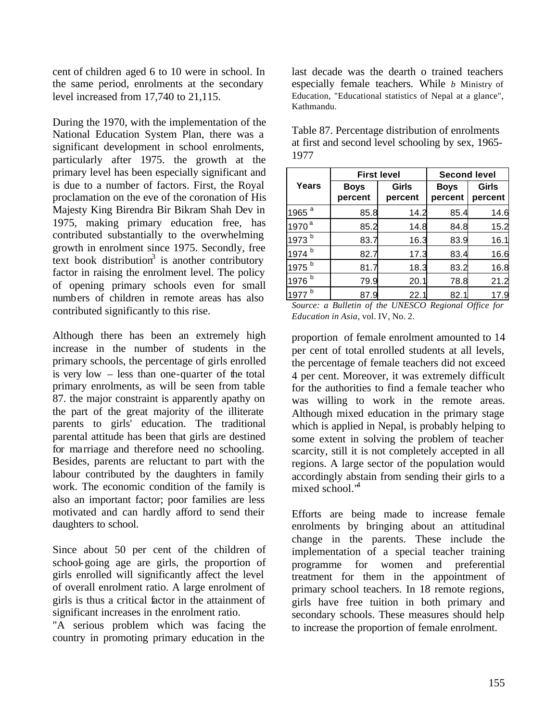cent of children aged 6 to 10 were in school. In the same period, enrolments at the secondary level increased from 17,740 to 21,115.

During the 1970, with the implementation of the National Education System Plan, there was a significant development in school enrolments, particularly after 1975. the growth at the primary level has been especially significant and is due to a number of factors. First, the Royal proclamation on the eve of the coronation of His Majesty King Birendra Bir Bikram Shah Dev in 1975, making primary education free, has contributed substantially to the overwhelming growth in enrolment since 1975. Secondly, free text book distribution<sup>3</sup> is another contributory factor in raising the enrolment level. The policy of opening primary schools even for small numbers of children in remote areas has also contributed significantly to this rise.

Although there has been an extremely high increase in the number of students in the primary schools, the percentage of girls enrolled is very low – less than one-quarter of the total primary enrolments, as will be seen from table 87. the major constraint is apparently apathy on the part of the great majority of the illiterate parents to girls' education. The traditional parental attitude has been that girls are destined for marriage and therefore need no schooling. Besides, parents are reluctant to part with the labour contributed by the daughters in family work. The economic condition of the family is also an important factor; poor families are less motivated and can hardly afford to send their daughters to school.

Since about 50 per cent of the children of school-going age are girls, the proportion of girls enrolled will significantly affect the level of overall enrolment ratio. A large enrolment of girls is thus a critical factor in the attainment of significant increases in the enrolment ratio.

"A serious problem which was facing the country in promoting primary education in the last decade was the dearth o trained teachers especially female teachers. While *b* Ministry of Education, "Educational statistics of Nepal at a glance", Kathmandu.

|                   |                                            | <b>First level</b> | <b>Second level</b>    |                  |  |  |
|-------------------|--------------------------------------------|--------------------|------------------------|------------------|--|--|
| Years             | Girls<br><b>Boys</b><br>percent<br>percent |                    | <b>Boys</b><br>percent | Girls<br>percent |  |  |
| 1965 <sup>a</sup> | 85.8                                       | 14.2               | 85.4                   | 14.6             |  |  |
| 1970 <sup>a</sup> | 85.2                                       | 14.8               | 84.8                   | 15.2             |  |  |
| 1973 <sup>b</sup> | 83.7                                       | 16.3               | 83.9                   | 16.1             |  |  |
| 1974 b            | 82.7                                       | 17.3               | 83.4                   | 16.6             |  |  |
| 1975 <sup>b</sup> | 81.7                                       | 18.3               | 83.2                   | 16.8             |  |  |
| 1976 b            | 79.9                                       | 20.1               | 78.8                   | 21.2             |  |  |
| b<br>1977         | 87.9                                       | 22.1               | 82.1                   | 17.9             |  |  |

Table 87. Percentage distribution of enrolments at first and second level schooling by sex, 1965- 1977

*Source: a Bulletin of the UNESCO Regional Office for Education in Asia,* vol. IV, No. 2.

proportion of female enrolment amounted to 14 per cent of total enrolled students at all levels, the percentage of female teachers did not exceed 4 per cent. Moreover, it was extremely difficult for the authorities to find a female teacher who was willing to work in the remote areas. Although mixed education in the primary stage which is applied in Nepal, is probably helping to some extent in solving the problem of teacher scarcity, still it is not completely accepted in all regions. A large sector of the population would accordingly abstain from sending their girls to a mixed school.<sup>4</sup>

Efforts are being made to increase female enrolments by bringing about an attitudinal change in the parents. These include the implementation of a special teacher training programme for women and preferential treatment for them in the appointment of primary school teachers. In 18 remote regions, girls have free tuition in both primary and secondary schools. These measures should help to increase the proportion of female enrolment.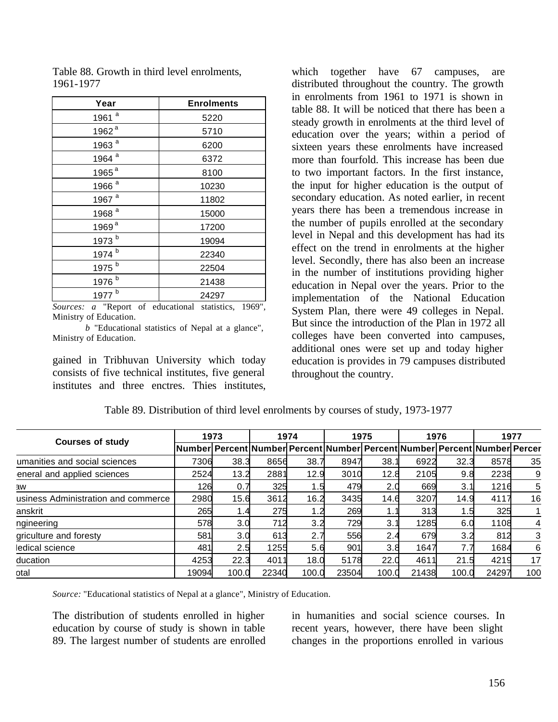| Year              | <b>Enrolments</b> |
|-------------------|-------------------|
| 1961 <sup>a</sup> | 5220              |
| 1962 <sup>a</sup> | 5710              |
| 1963 <sup>a</sup> | 6200              |
| 1964 <sup>a</sup> | 6372              |
| 1965 <sup>a</sup> | 8100              |
| 1966 <sup>a</sup> | 10230             |
| 1967 <sup>a</sup> | 11802             |
| 1968 <sup>a</sup> | 15000             |
| 1969 <sup>a</sup> | 17200             |
| 1973 b            | 19094             |
| 1974 b            | 22340             |
| 1975 b            | 22504             |
| 1976 b            | 21438             |
| 1977 b            | 24297             |

Table 88. Growth in third level enrolments, 1961-1977

*Sources: a* "Report of educational statistics, 1969", Ministry of Education.

*b* "Educational statistics of Nepal at a glance", Ministry of Education.

gained in Tribhuvan University which today consists of five technical institutes, five general institutes and three enctres. Thies institutes,

which together have 67 campuses, are distributed throughout the country. The growth in enrolments from 1961 to 1971 is shown in table 88. It will be noticed that there has been a steady growth in enrolments at the third level of education over the years; within a period of sixteen years these enrolments have increased more than fourfold. This increase has been due to two important factors. In the first instance, the input for higher education is the output of secondary education. As noted earlier, in recent years there has been a tremendous increase in the number of pupils enrolled at the secondary level in Nepal and this development has had its effect on the trend in enrolments at the higher level. Secondly, there has also been an increase in the number of institutions providing higher education in Nepal over the years. Prior to the implementation of the National Education System Plan, there were 49 colleges in Nepal. But since the introduction of the Plan in 1972 all colleges have been converted into campuses, additional ones were set up and today higher education is provides in 79 campuses distributed throughout the country.

| <b>Courses of study</b>             | 1973  |       | 1974  |       | 1975  |       | 1976  |       | 1977                                                                      |     |
|-------------------------------------|-------|-------|-------|-------|-------|-------|-------|-------|---------------------------------------------------------------------------|-----|
|                                     |       |       |       |       |       |       |       |       | Number Percent Number Percent Number Percent Number Percent Number Percer |     |
| umanities and social sciences       | 7306  | 38.3  | 8656  | 38.7  | 8947  | 38.1  | 6922  | 32.3  | 8578                                                                      | 35  |
| eneral and applied sciences         | 2524  | 13.2  | 2881  | 12.9  | 3010  | 12.8  | 2105  | 9.8   | 2238                                                                      | 9   |
| ЭW                                  | 126   | 0.7   | 325   | 1.5   | 479   | 2.0   | 669   | 3.1   | 1216                                                                      |     |
| usiness Administration and commerce | 2980  | 15.6  | 3612  | 16.2  | 3435  | 14.6  | 3207  | 14.9  | 4117                                                                      | 16  |
| anskrit                             | 265   | 1.4   | 275   | 1.2   | 269   |       | 313   | ا5. ا | 325                                                                       |     |
| ngineering                          | 578   | 3.0   | 712   | 3.2   | 729   | 3.1   | 1285  | 6.0   | 1108                                                                      |     |
| griculture and foresty              | 581   | 3.0   | 613   | 2.7   | 556   | 2.4   | 679   | 3.2   | 812                                                                       |     |
| ledical science                     | 481   | 2.5   | 1255  | 5.6   | 901   | 3.8   | 1647  | 7.7   | 1684                                                                      | 6   |
| ducation                            | 4253  | 22.3  | 4011  | 18.0  | 5178  | 22.0  | 4611  | 21.5  | 4219                                                                      | 17  |
| otal                                | 19094 | 100.0 | 22340 | 100.0 | 23504 | 100.0 | 21438 | 100.0 | 24297                                                                     | 100 |

Table 89. Distribution of third level enrolments by courses of study, 1973-1977

*Source:* "Educational statistics of Nepal at a glance", Ministry of Education.

The distribution of students enrolled in higher education by course of study is shown in table 89. The largest number of students are enrolled in humanities and social science courses. In recent years, however, there have been slight changes in the proportions enrolled in various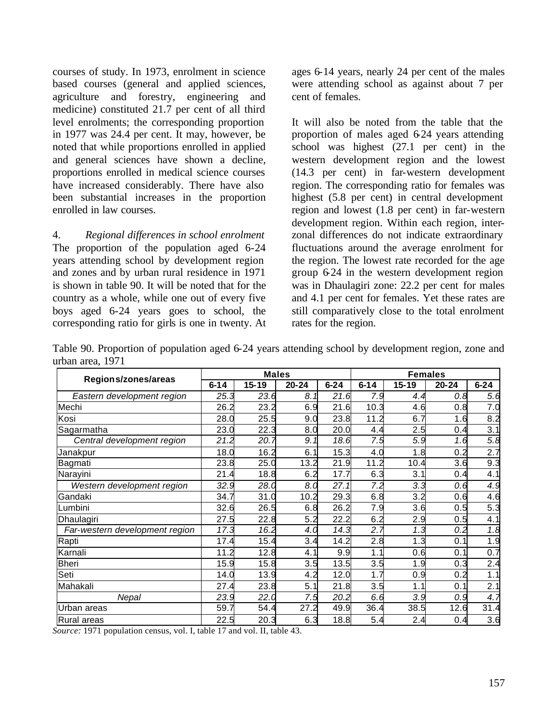courses of study. In 1973, enrolment in science based courses (general and applied sciences, agriculture and forestry, engineering and medicine) constituted 21.7 per cent of all third level enrolments; the corresponding proportion in 1977 was 24.4 per cent. It may, however, be noted that while proportions enrolled in applied and general sciences have shown a decline, proportions enrolled in medical science courses have increased considerably. There have also been substantial increases in the proportion enrolled in law courses.

4. *Regional differences in school enrolment* The proportion of the population aged 6-24 years attending school by development region and zones and by urban rural residence in 1971 is shown in table 90. It will be noted that for the country as a whole, while one out of every five boys aged 6-24 years goes to school, the corresponding ratio for girls is one in twenty. At ages 6-14 years, nearly 24 per cent of the males were attending school as against about 7 per cent of females.

It will also be noted from the table that the proportion of males aged 6-24 years attending school was highest (27.1 per cent) in the western development region and the lowest (14.3 per cent) in far-western development region. The corresponding ratio for females was highest (5.8 per cent) in central development region and lowest (1.8 per cent) in far-western development region. Within each region, interzonal differences do not indicate extraordinary fluctuations around the average enrolment for the region. The lowest rate recorded for the age group 6-24 in the western development region was in Dhaulagiri zone: 22.2 per cent for males and 4.1 per cent for females. Yet these rates are still comparatively close to the total enrolment rates for the region.

Table 90. Proportion of population aged 6-24 years attending school by development region, zone and urban area, 1971

|                                |          | <b>Males</b> |           |          | <b>Females</b> |                  |           |          |
|--------------------------------|----------|--------------|-----------|----------|----------------|------------------|-----------|----------|
| Regions/zones/areas            | $6 - 14$ | $15 - 19$    | $20 - 24$ | $6 - 24$ | $6 - 14$       | $15 - 19$        | $20 - 24$ | $6 - 24$ |
| Eastern development region     | 25.3     | 23.6         | 8.1       | 21.6     | 7.9            | 4.4              | 0.8       | 5.6      |
| Mechi                          | 26.2     | 23.2         | 6.9       | 21.6     | 10.3           | 4.6              | 0.8       | 7.0      |
| Kosi                           | 28.0     | 25.5         | 9.0       | 23.8     | 11.2           | 6.7              | 1.6       | 8.2      |
| Sagarmatha                     | 23.0     | 22.3         | 8.0       | 20.0     | 4.4            | 2.5              | 0.4       | 3.1      |
| Central development region     | 21.2     | 20.7         | 9.1       | 18.6     | 7.5            | 5.9              | 1.6       | 5.8      |
| Janakpur                       | 18.0     | 16.2         | 6.1       | 15.3     | 4.0            | 1.8              | 0.2       | 2.7      |
| Bagmati                        | 23.8     | 25.0         | 13.2      | 21.9     | 11.2           | 10.4             | 3.6       | 9.3      |
| Narayini                       | 21.4     | 18.8         | 6.2       | 17.7     | 6.3            | 3.1              | 0.4       | 4.1      |
| Western development region     | 32.9     | 28.0         | 8.0       | 27.1     | 7.2            | $3.\overline{3}$ | 0.6       | 4.9      |
| Gandaki                        | 34.7     | 31.0         | 10.2      | 29.3     | 6.8            | 3.2              | 0.6       | 4.6      |
| Lumbini                        | 32.6     | 26.5         | 6.8       | 26.2     | 7.9            | 3.6              | 0.5       | 5.3      |
| Dhaulagiri                     | 27.5     | 22.8         | 5.2       | 22.2     | 6.2            | 2.9              | 0.5       | 4.1      |
| Far-western development region | 17.3     | 16.2         | 4.0       | 14.3     | 2.7            | 1.3              | 0.2       | 1.8      |
| Rapti                          | 17.4     | 15.4         | 3.4       | 14.2     | 2.8            | .3               | 0.1       | 1.9      |
| Karnali                        | 11.2     | 12.8         | 4.1       | 9.9      | 1.1            | 0.6              | 0.1       | 0.7      |
| <b>Bheri</b>                   | 15.9     | 15.8         | 3.5       | 13.5     | 3.5            | 1.9              | 0.3       | 2.4      |
| Seti                           | 14.0     | 13.9         | 4.2       | 12.0     | 1.7            | 0.9              | 0.2       | 1.1      |
| Mahakali                       | 27.4     | 23.8         | 5.1       | 21.8     | 3.5            | 1.1              | 0.1       | 2.1      |
| Nepal                          | 23.9     | 22.0         | 7.5       | 20.2     | 6.6            | 3.9              | 0.9       | 4.7      |
| Urban areas                    | 59.7     | 54.4         | 27.2      | 49.9     | 36.4           | 38.5             | 12.6      | 31.4     |
| Rural areas                    | 22.5     | 20.3         | 6.3       | 18.8     | 5.4            | 2.4              | 0.4       | 3.6      |

*Source:* 1971 population census, vol. I, table 17 and vol. II, table 43.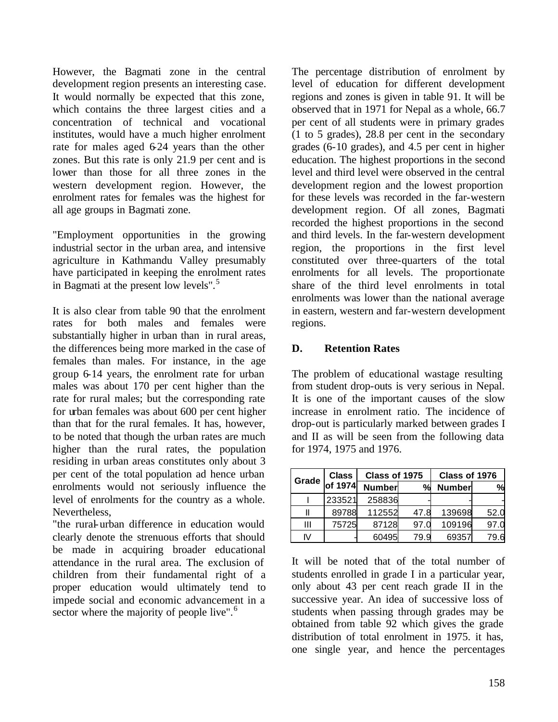However, the Bagmati zone in the central development region presents an interesting case. It would normally be expected that this zone, which contains the three largest cities and a concentration of technical and vocational institutes, would have a much higher enrolment rate for males aged 6-24 years than the other zones. But this rate is only 21.9 per cent and is lower than those for all three zones in the western development region. However, the enrolment rates for females was the highest for all age groups in Bagmati zone.

"Employment opportunities in the growing industrial sector in the urban area, and intensive agriculture in Kathmandu Valley presumably have participated in keeping the enrolment rates in Bagmati at the present low levels".<sup>5</sup>

It is also clear from table 90 that the enrolment rates for both males and females were substantially higher in urban than in rural areas, the differences being more marked in the case of females than males. For instance, in the age group 6-14 years, the enrolment rate for urban males was about 170 per cent higher than the rate for rural males; but the corresponding rate for urban females was about 600 per cent higher than that for the rural females. It has, however, to be noted that though the urban rates are much higher than the rural rates, the population residing in urban areas constitutes only about 3 per cent of the total population ad hence urban enrolments would not seriously influence the level of enrolments for the country as a whole. Nevertheless,

"the rural-urban difference in education would clearly denote the strenuous efforts that should be made in acquiring broader educational attendance in the rural area. The exclusion of children from their fundamental right of a proper education would ultimately tend to impede social and economic advancement in a sector where the majority of people live".<sup>6</sup>

The percentage distribution of enrolment by level of education for different development regions and zones is given in table 91. It will be observed that in 1971 for Nepal as a whole, 66.7 per cent of all students were in primary grades (1 to 5 grades), 28.8 per cent in the secondary grades (6-10 grades), and 4.5 per cent in higher education. The highest proportions in the second level and third level were observed in the central development region and the lowest proportion for these levels was recorded in the far-western development region. Of all zones, Bagmati recorded the highest proportions in the second and third levels. In the far-western development region, the proportions in the first level constituted over three-quarters of the total enrolments for all levels. The proportionate share of the third level enrolments in total enrolments was lower than the national average in eastern, western and far-western development regions.

# **D. Retention Rates**

The problem of educational wastage resulting from student drop-outs is very serious in Nepal. It is one of the important causes of the slow increase in enrolment ratio. The incidence of drop-out is particularly marked between grades I and II as will be seen from the following data for 1974, 1975 and 1976.

| Grade | <b>Class</b> | Class of 1975               |      | Class of 1976 |      |  |  |
|-------|--------------|-----------------------------|------|---------------|------|--|--|
|       | of 1974      | <b>Number</b><br>$O_{\ell}$ |      | <b>Number</b> | %    |  |  |
|       | 233521       | 258836                      |      |               |      |  |  |
|       | 89788        | 112552                      | 47.8 | 139698        | 52.0 |  |  |
| Ш     | 75725        | 87128                       | 97.0 | 109196        | 97.0 |  |  |
| IV    |              | 60495                       | 79.9 | 69357         | 79.6 |  |  |

It will be noted that of the total number of students enrolled in grade I in a particular year, only about 43 per cent reach grade II in the successive year. An idea of successive loss of students when passing through grades may be obtained from table 92 which gives the grade distribution of total enrolment in 1975. it has, one single year, and hence the percentages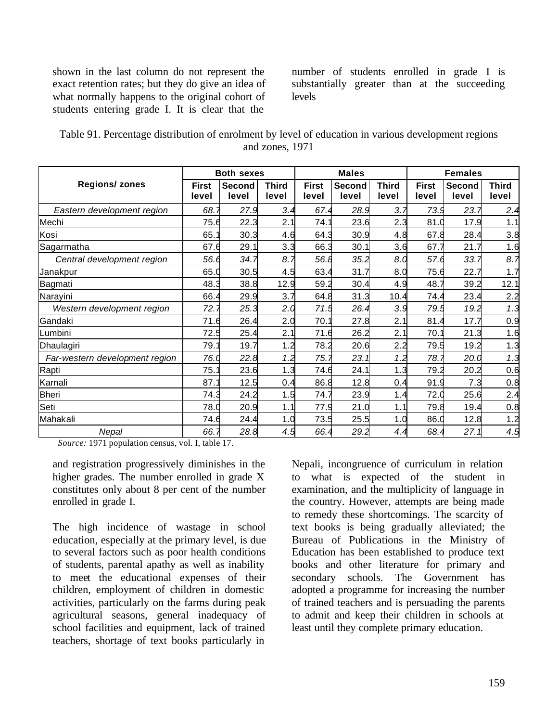shown in the last column do not represent the exact retention rates; but they do give an idea of what normally happens to the original cohort of students entering grade I. It is clear that the

number of students enrolled in grade I is substantially greater than at the succeeding levels

| Table 91. Percentage distribution of enrolment by level of education in various development regions |
|-----------------------------------------------------------------------------------------------------|
| and zones, 1971                                                                                     |

|                                | <b>Both sexes</b>     |                 | <b>Males</b>          |                       |                 | <b>Females</b>        |                       |                 |                       |
|--------------------------------|-----------------------|-----------------|-----------------------|-----------------------|-----------------|-----------------------|-----------------------|-----------------|-----------------------|
| <b>Regions/ zones</b>          | <b>First</b><br>level | Second<br>level | <b>Third</b><br>level | <b>First</b><br>level | Second<br>level | <b>Third</b><br>level | <b>First</b><br>level | Second<br>level | <b>Third</b><br>level |
| Eastern development region     | 68.7                  | 27.9            | 3.4                   | 67.4                  | 28.9            | 3.7                   | 73.9                  | 23.7            | 2.4                   |
| Mechi                          | 75.6                  | 22.3            | 2.1                   | 74.1                  | 23.6            | 2.3                   | 81.0                  | 17.9            | 1.1                   |
| Kosi                           | 65.7                  | 30.3            | 4.6                   | 64.3                  | 30.9            | 4.8                   | 67.8                  | 28.4            | 3.8                   |
| Sagarmatha                     | 67.6                  | 29.1            | 3.3                   | 66.3                  | 30.1            | 3.6                   | 67.7                  | 21.7            | 1.6                   |
| Central development region     | 56.6                  | 34.7            | 8.7                   | 56.8                  | 35.2            | 8.0                   | 57.6                  | 33.7            | 8.7                   |
| Janakpur                       | 65.C                  | 30.5            | 4.5                   | 63.4                  | 31.7            | 8.0                   | 75.6                  | 22.7            | 1.7                   |
| Bagmati                        | 48.3                  | 38.8            | 12.9                  | 59.2                  | 30.4            | 4.9                   | 48.7                  | 39.2            | 12.1                  |
| Narayini                       | 66.4                  | 29.9            | 3.7                   | 64.8                  | 31.3            | 10.4                  | 74.4                  | 23.4            | 2.2                   |
| Western development region     | 72.7                  | 25.3            | 2.0                   | 71.5                  | 26.4            | 3.9                   | 79.5                  | 19.2            | 1.3                   |
| Gandaki                        | 71.6                  | 26.4            | 2.0                   | 70.7                  | 27.8            | 2.1                   | 81.4                  | 17.7            | 0.9                   |
| Lumbini                        | 72.5                  | 25.4            | 2.1                   | 71.6                  | 26.2            | 2.1                   | 70.1                  | 21.3            | 1.6                   |
| Dhaulagiri                     | 79.7                  | 19.7            | 1.2                   | 78.2                  | 20.6            | 2.2                   | 79.5                  | 19.2            | 1.3                   |
| Far-western development region | 76.0                  | 22.8            | 1.2                   | 75.7                  | 23.1            | 1.2                   | 78.7                  | 20.0            | 1.3                   |
| Rapti                          | 75.1                  | 23.6            | 1.3                   | 74.6                  | 24.1            | 1.3                   | 79.2                  | 20.2            | 0.6                   |
| Karnali                        | 87.1                  | 12.5            | 0.4                   | 86.8                  | 12.8            | 0.4                   | 91.9                  | 7.3             | 0.8                   |
| Bheri                          | 74.3                  | 24.2            | 1.5                   | 74.7                  | 23.9            | 1.4                   | 72.0                  | 25.6            | 2.4                   |
| Seti                           | 78.C                  | 20.9            | 1.1                   | 77.9                  | 21.0            | 1.1                   | 79.8                  | 19.4            | 0.8                   |
| Mahakali                       | 74.6                  | 24.4            | 1.0                   | 73.5                  | 25.5            | 1.0                   | 86.0                  | 12.8            | 1.2                   |
| Nepal                          | 66.7                  | 28.8            | 4.5                   | 66.4                  | 29.2            | 4.4                   | 68.4                  | 27.1            | 4.5                   |

*Source:* 1971 population census, vol. I, table 17.

and registration progressively diminishes in the higher grades. The number enrolled in grade X constitutes only about 8 per cent of the number enrolled in grade I.

The high incidence of wastage in school education, especially at the primary level, is due to several factors such as poor health conditions of students, parental apathy as well as inability to meet the educational expenses of their children, employment of children in domestic activities, particularly on the farms during peak agricultural seasons, general inadequacy of school facilities and equipment, lack of trained teachers, shortage of text books particularly in

Nepali, incongruence of curriculum in relation to what is expected of the student in examination, and the multiplicity of language in the country. However, attempts are being made to remedy these shortcomings. The scarcity of text books is being gradually alleviated; the Bureau of Publications in the Ministry of Education has been established to produce text books and other literature for primary and secondary schools. The Government has adopted a programme for increasing the number of trained teachers and is persuading the parents to admit and keep their children in schools at least until they complete primary education.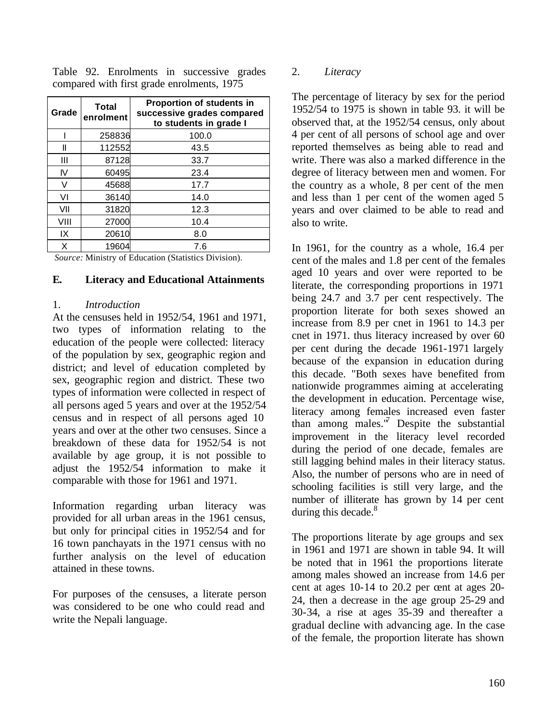Table 92. Enrolments in successive grades compared with first grade enrolments, 1975

| Grade | <b>Total</b><br>enrolment | <b>Proportion of students in</b><br>successive grades compared<br>to students in grade I |
|-------|---------------------------|------------------------------------------------------------------------------------------|
|       | 258836                    | 100.0                                                                                    |
| Ш     | 112552                    | 43.5                                                                                     |
| Ш     | 87128                     | 33.7                                                                                     |
| IV    | 60495                     | 23.4                                                                                     |
| V     | 45688                     | 17.7                                                                                     |
| VI    | 36140                     | 14.0                                                                                     |
| VII   | 31820                     | 12.3                                                                                     |
| VIII  | 27000                     | 10.4                                                                                     |
| IX    | 20610                     | 8.0                                                                                      |
| X     | 19604                     | 7.6                                                                                      |

*Source:* Ministry of Education (Statistics Division).

### **E. Literacy and Educational Attainments**

#### 1. *Introduction*

At the censuses held in 1952/54, 1961 and 1971, two types of information relating to the education of the people were collected: literacy of the population by sex, geographic region and district; and level of education completed by sex, geographic region and district. These two types of information were collected in respect of all persons aged 5 years and over at the 1952/54 census and in respect of all persons aged 10 years and over at the other two censuses. Since a breakdown of these data for 1952/54 is not available by age group, it is not possible to adjust the 1952/54 information to make it comparable with those for 1961 and 1971.

Information regarding urban literacy was provided for all urban areas in the 1961 census, but only for principal cities in 1952/54 and for 16 town panchayats in the 1971 census with no further analysis on the level of education attained in these towns.

For purposes of the censuses, a literate person was considered to be one who could read and write the Nepali language.

### 2. *Literacy*

The percentage of literacy by sex for the period 1952/54 to 1975 is shown in table 93. it will be observed that, at the 1952/54 census, only about 4 per cent of all persons of school age and over reported themselves as being able to read and write. There was also a marked difference in the degree of literacy between men and women. For the country as a whole, 8 per cent of the men and less than 1 per cent of the women aged 5 years and over claimed to be able to read and also to write.

In 1961, for the country as a whole, 16.4 per cent of the males and 1.8 per cent of the females aged 10 years and over were reported to be literate, the corresponding proportions in 1971 being 24.7 and 3.7 per cent respectively. The proportion literate for both sexes showed an increase from 8.9 per cnet in 1961 to 14.3 per cnet in 1971. thus literacy increased by over 60 per cent during the decade 1961-1971 largely because of the expansion in education during this decade. "Both sexes have benefited from nationwide programmes aiming at accelerating the development in education. Percentage wise, literacy among females increased even faster than among males. $\sqrt[n]{}$  Despite the substantial improvement in the literacy level recorded during the period of one decade, females are still lagging behind males in their literacy status. Also, the number of persons who are in need of schooling facilities is still very large, and the number of illiterate has grown by 14 per cent during this decade. $8^8$ 

The proportions literate by age groups and sex in 1961 and 1971 are shown in table 94. It will be noted that in 1961 the proportions literate among males showed an increase from 14.6 per cent at ages 10-14 to 20.2 per cent at ages 20- 24, then a decrease in the age group 25-29 and 30-34, a rise at ages 35-39 and thereafter a gradual decline with advancing age. In the case of the female, the proportion literate has shown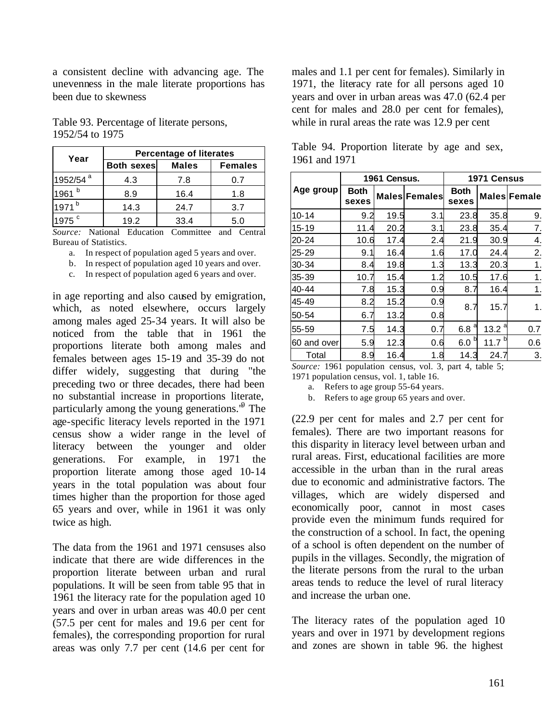a consistent decline with advancing age. The unevenness in the male literate proportions has been due to skewness

Table 93. Percentage of literate persons, 1952/54 to 1975

| Year                 | <b>Percentage of literates</b> |              |                |  |  |  |  |  |
|----------------------|--------------------------------|--------------|----------------|--|--|--|--|--|
|                      | <b>Both sexes</b>              | <b>Males</b> | <b>Females</b> |  |  |  |  |  |
| 1952/54 <sup>a</sup> | 4.3                            | 7.8          | 0.7            |  |  |  |  |  |
| $1961$ <sup>b</sup>  | 8.9                            | 16.4         | 1.8            |  |  |  |  |  |
| 1971 <sup>b</sup>    | 14.3                           | 24.7         | 3.7            |  |  |  |  |  |
| 1975 <sup>c</sup>    | 19.2                           | 33.4         | 5.0            |  |  |  |  |  |

*Source:* National Education Committee and Central Bureau of Statistics.

- a. In respect of population aged 5 years and over.
- b. In respect of population aged 10 years and over.
- c. In respect of population aged 6 years and over.

in age reporting and also caused by emigration, which, as noted elsewhere, occurs largely among males aged 25-34 years. It will also be noticed from the table that in 1961 the proportions literate both among males and females between ages 15-19 and 35-39 do not differ widely, suggesting that during "the preceding two or three decades, there had been no substantial increase in proportions literate, particularly among the young generations.<sup>19</sup> The age-specific literacy levels reported in the 1971 census show a wider range in the level of literacy between the younger and older generations. For example, in 1971 the proportion literate among those aged 10-14 years in the total population was about four times higher than the proportion for those aged 65 years and over, while in 1961 it was only twice as high.

The data from the 1961 and 1971 censuses also indicate that there are wide differences in the proportion literate between urban and rural populations. It will be seen from table 95 that in 1961 the literacy rate for the population aged 10 years and over in urban areas was 40.0 per cent (57.5 per cent for males and 19.6 per cent for females), the corresponding proportion for rural areas was only 7.7 per cent (14.6 per cent for

males and 1.1 per cent for females). Similarly in 1971, the literacy rate for all persons aged 10 years and over in urban areas was 47.0 (62.4 per cent for males and 28.0 per cent for females), while in rural areas the rate was 12.9 per cent

|             |               | 1961 Census. |                      | 1971 Census          |             |                     |  |
|-------------|---------------|--------------|----------------------|----------------------|-------------|---------------------|--|
| Age group   | Both<br>sexes |              | <b>Males Females</b> | <b>Both</b><br>sexes |             | <b>Males Female</b> |  |
| $10 - 14$   | 9.2           | 19.5         | 3.1                  | 23.8                 | 35.8        | 9.                  |  |
| $15 - 19$   | 11.4          | 20.2         | 3.1                  | 23.8                 | 35.4        | 7.                  |  |
| 20-24       | 10.6          | 17.4         | 2.4                  | 21.9                 | 30.9        | 4.                  |  |
| $25 - 29$   | 9.1           | 16.4         | 1.6                  | 17.0                 | 24.4        | 2.                  |  |
| 30-34       | 8.4           | 19.8         | 1.3                  | 13.3                 | 20.3        | 1.                  |  |
| $35 - 39$   | 10.7          | 15.4         | 1.2                  | 10.5                 | 17.6        | 1.                  |  |
| 40-44       | 7.8           | 15.3         | 0.9                  | 8.7                  | 16.4        | 1.                  |  |
| 45-49       | 8.2           | 15.2         | 0.9                  | 8.7                  | 15.7        | 1.                  |  |
| 50-54       | 6.7           | 13.2         | 0.8                  |                      |             |                     |  |
| 55-59       | 7.5           | 14.3         | 0.7                  | 6.8 <sup>a</sup>     | 13.2        | 0.7                 |  |
| 60 and over | 5.9           | 12.3         | 0.6                  | b<br>6.0             | 11.7 $^{b}$ | 0.6                 |  |
| Total       | 8.9           | 16.4         | 1.8                  | 14.3                 | 24.7        | 3.                  |  |

Table 94. Proportion literate by age and sex, 1961 and 1971

*Source:* 1961 population census, vol. 3, part 4, table 5; 1971 population census, vol. 1, table 16.

a. Refers to age group 55-64 years.

b. Refers to age group 65 years and over.

(22.9 per cent for males and 2.7 per cent for females). There are two important reasons for this disparity in literacy level between urban and rural areas. First, educational facilities are more accessible in the urban than in the rural areas due to economic and administrative factors. The villages, which are widely dispersed and economically poor, cannot in most cases provide even the minimum funds required for the construction of a school. In fact, the opening of a school is often dependent on the number of pupils in the villages. Secondly, the migration of the literate persons from the rural to the urban areas tends to reduce the level of rural literacy and increase the urban one.

The literacy rates of the population aged 10 years and over in 1971 by development regions and zones are shown in table 96. the highest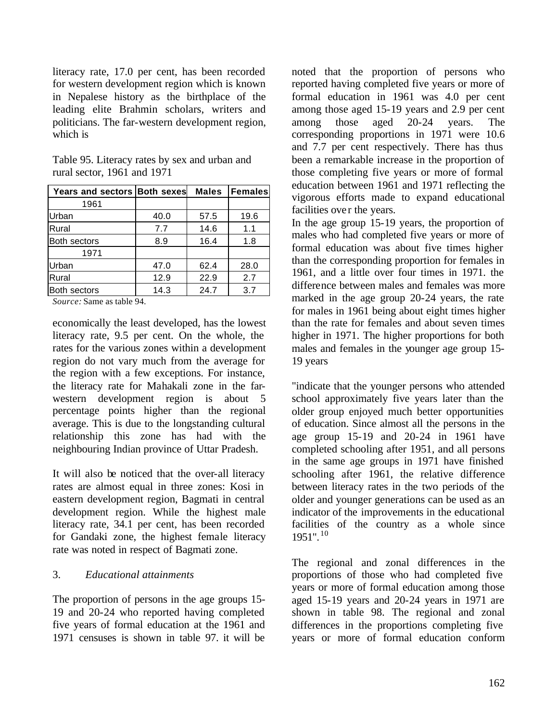literacy rate, 17.0 per cent, has been recorded for western development region which is known in Nepalese history as the birthplace of the leading elite Brahmin scholars, writers and politicians. The far-western development region, which is

| Years and sectors Both sexes               |      | <b>Males</b> | Females |
|--------------------------------------------|------|--------------|---------|
| 1961                                       |      |              |         |
| Urban                                      | 40.0 | 57.5         | 19.6    |
| Rural                                      | 7.7  | 14.6         | 1.1     |
| Both sectors                               | 8.9  | 16.4         | 1.8     |
| 1971                                       |      |              |         |
| Urban                                      | 47.0 | 62.4         | 28.0    |
| Rural                                      | 12.9 | 22.9         | 2.7     |
| <b>Both sectors</b>                        | 14.3 | 24.7         | 3.7     |
| $\cdot$ 11 $\alpha$ 4<br>$\alpha$ $\alpha$ |      |              |         |

Table 95. Literacy rates by sex and urban and rural sector, 1961 and 1971

*Source:* Same as table 94.

economically the least developed, has the lowest literacy rate, 9.5 per cent. On the whole, the rates for the various zones within a development region do not vary much from the average for the region with a few exceptions. For instance, the literacy rate for Mahakali zone in the farwestern development region is about 5 percentage points higher than the regional average. This is due to the longstanding cultural relationship this zone has had with the neighbouring Indian province of Uttar Pradesh.

It will also be noticed that the over-all literacy rates are almost equal in three zones: Kosi in eastern development region, Bagmati in central development region. While the highest male literacy rate, 34.1 per cent, has been recorded for Gandaki zone, the highest female literacy rate was noted in respect of Bagmati zone.

### 3. *Educational attainments*

The proportion of persons in the age groups 15- 19 and 20-24 who reported having completed five years of formal education at the 1961 and 1971 censuses is shown in table 97. it will be

noted that the proportion of persons who reported having completed five years or more of formal education in 1961 was 4.0 per cent among those aged 15-19 years and 2.9 per cent among those aged 20-24 years. The corresponding proportions in 1971 were 10.6 and 7.7 per cent respectively. There has thus been a remarkable increase in the proportion of those completing five years or more of formal education between 1961 and 1971 reflecting the vigorous efforts made to expand educational facilities over the years.

In the age group 15-19 years, the proportion of males who had completed five years or more of formal education was about five times higher than the corresponding proportion for females in 1961, and a little over four times in 1971. the difference between males and females was more marked in the age group 20-24 years, the rate for males in 1961 being about eight times higher than the rate for females and about seven times higher in 1971. The higher proportions for both males and females in the younger age group 15- 19 years

"indicate that the younger persons who attended school approximately five years later than the older group enjoyed much better opportunities of education. Since almost all the persons in the age group 15-19 and 20-24 in 1961 have completed schooling after 1951, and all persons in the same age groups in 1971 have finished schooling after 1961, the relative difference between literacy rates in the two periods of the older and younger generations can be used as an indicator of the improvements in the educational facilities of the country as a whole since  $1951$ ".  $10$ 

The regional and zonal differences in the proportions of those who had completed five years or more of formal education among those aged 15-19 years and 20-24 years in 1971 are shown in table 98. The regional and zonal differences in the proportions completing five years or more of formal education conform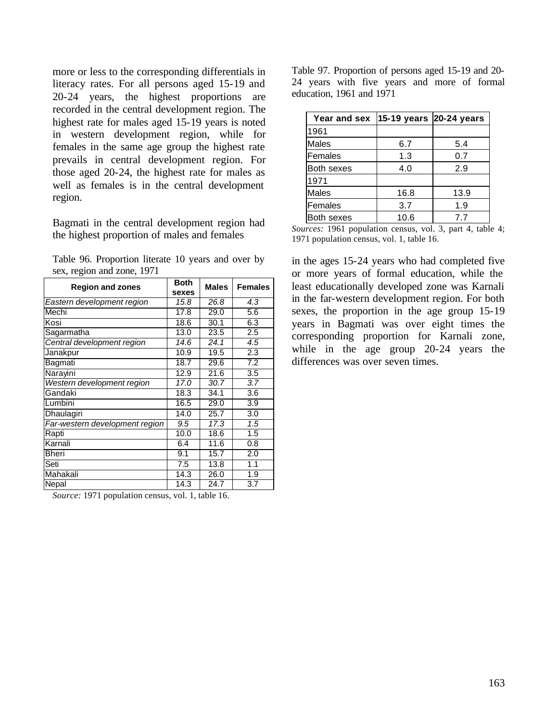more or less to the corresponding differentials in literacy rates. For all persons aged 15-19 and 20-24 years, the highest proportions are recorded in the central development region. The highest rate for males aged 15-19 years is noted in western development region, while for females in the same age group the highest rate prevails in central development region. For those aged 20-24, the highest rate for males as well as females is in the central development region.

Bagmati in the central development region had the highest proportion of males and females

Table 96. Proportion literate 10 years and over by sex, region and zone, 1971

| <b>Region and zones</b>        | <b>Both</b><br>sexes | <b>Males</b> | <b>Females</b> |  |
|--------------------------------|----------------------|--------------|----------------|--|
| Eastern development region     | 15.8                 | 26.8         | 4.3            |  |
| Mechi                          | 17.8                 | 29.0         | 5.6            |  |
| Kosi                           | 18.6                 | 30.1         | 6.3            |  |
| Sagarmatha                     | 13.0                 | 23.5         | 2.5            |  |
| Central development region     | 14.6                 | 24.1         | 4.5            |  |
| Janakpur                       | 10.9                 | 19.5         | 2.3            |  |
| Bagmati                        | 18.7                 | 29.6         | 7.2            |  |
| Narayini                       | 12.9                 | 21.6         | 3.5            |  |
| Western development region     | 17.0                 | 30.7         | 3.7            |  |
| Gandaki                        | 18.3                 | 34.1         | 3.6            |  |
| Lumbini                        | 16.5                 | 29.0         | 3.9            |  |
| Dhaulagiri                     | 14.0                 | 25.7         | 3.0            |  |
| Far-western development region | 9.5                  | 17.3         | 1.5            |  |
| Rapti                          | 10.0                 | 18.6         | 1.5            |  |
| Karnali                        | 6.4                  | 11.6         | 0.8            |  |
| Bheri                          | 9.1                  | 15.7         | 2.0            |  |
| Seti                           | 7.5                  | 13.8         | 1.1            |  |
| Mahakali                       | 14.3                 | 26.0         | 1.9            |  |
| Nepal                          | 14.3                 | 24.7         | 3.7            |  |

*Source:* 1971 population census, vol. 1, table 16.

Table 97. Proportion of persons aged 15-19 and 20- 24 years with five years and more of formal education, 1961 and 1971

| Year and sex      | 15-19 years 20-24 years |      |  |  |
|-------------------|-------------------------|------|--|--|
| 1961              |                         |      |  |  |
| <b>Males</b>      | 6.7                     | 5.4  |  |  |
| Females           | 1.3                     | 0.7  |  |  |
| Both sexes        | 4.0                     | 2.9  |  |  |
| 1971              |                         |      |  |  |
| <b>Males</b>      | 16.8                    | 13.9 |  |  |
| Females           | 3.7                     | 1.9  |  |  |
| <b>Both sexes</b> | 10.6                    | 7.7  |  |  |

*Sources:* 1961 population census, vol. 3, part 4, table 4; 1971 population census, vol. 1, table 16.

in the ages 15-24 years who had completed five or more years of formal education, while the least educationally developed zone was Karnali in the far-western development region. For both sexes, the proportion in the age group 15-19 years in Bagmati was over eight times the corresponding proportion for Karnali zone, while in the age group 20-24 years the differences was over seven times.